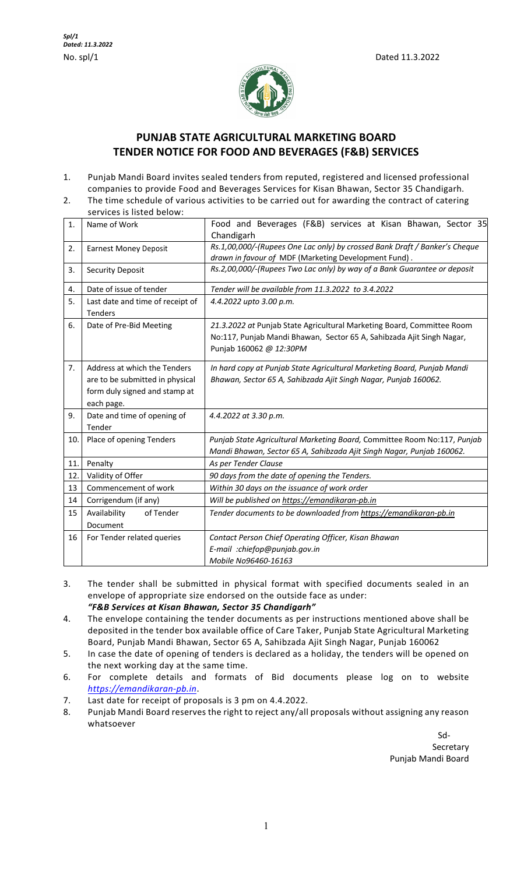

# **PUNJAB STATE AGRICULTURAL MARKETING BOARD TENDER NOTICE FOR FOOD AND BEVERAGES (F&B) SERVICES**

- 1. Punjab Mandi Board invites sealed tenders from reputed, registered and licensed professional companies to provide Food and Beverages Services for Kisan Bhawan, Sector 35 Chandigarh.
- 2. The time schedule of various activities to be carried out for awarding the contract of catering services is listed below:

| 1.                         | Name of Work                                                                                                   | Food and Beverages (F&B) services at Kisan Bhawan, Sector 35<br>Chandigarh                                                                                                 |  |  |  |
|----------------------------|----------------------------------------------------------------------------------------------------------------|----------------------------------------------------------------------------------------------------------------------------------------------------------------------------|--|--|--|
| 2.                         | <b>Earnest Money Deposit</b>                                                                                   | Rs.1,00,000/-(Rupees One Lac only) by crossed Bank Draft / Banker's Cheque<br>drawn in favour of MDF (Marketing Development Fund).                                         |  |  |  |
| 3.                         | <b>Security Deposit</b>                                                                                        | Rs.2,00,000/-(Rupees Two Lac only) by way of a Bank Guarantee or deposit                                                                                                   |  |  |  |
| 4.                         | Date of issue of tender<br>Tender will be available from 11.3.2022 to 3.4.2022                                 |                                                                                                                                                                            |  |  |  |
| 5.                         | Last date and time of receipt of<br><b>Tenders</b>                                                             | 4.4.2022 upto 3.00 p.m.                                                                                                                                                    |  |  |  |
| 6.                         | Date of Pre-Bid Meeting                                                                                        | 21.3.2022 at Punjab State Agricultural Marketing Board, Committee Room<br>No:117, Punjab Mandi Bhawan, Sector 65 A, Sahibzada Ajit Singh Nagar,<br>Punjab 160062 @ 12:30PM |  |  |  |
| 7.                         | Address at which the Tenders<br>are to be submitted in physical<br>form duly signed and stamp at<br>each page. | In hard copy at Punjab State Agricultural Marketing Board, Punjab Mandi<br>Bhawan, Sector 65 A, Sahibzada Ajit Singh Nagar, Punjab 160062.                                 |  |  |  |
| 9.                         | Date and time of opening of<br>4.4.2022 at 3.30 p.m.<br>Tender                                                 |                                                                                                                                                                            |  |  |  |
| 10.                        | Place of opening Tenders                                                                                       | Punjab State Agricultural Marketing Board, Committee Room No:117, Punjab<br>Mandi Bhawan, Sector 65 A, Sahibzada Ajit Singh Nagar, Punjab 160062.                          |  |  |  |
| 11.                        | Penalty                                                                                                        | As per Tender Clause                                                                                                                                                       |  |  |  |
| 12.                        | Validity of Offer                                                                                              | 90 days from the date of opening the Tenders.                                                                                                                              |  |  |  |
| 13                         | Commencement of work                                                                                           | Within 30 days on the issuance of work order                                                                                                                               |  |  |  |
| Corrigendum (if any)<br>14 |                                                                                                                | Will be published on https://emandikaran-pb.in                                                                                                                             |  |  |  |
| 15                         | Availability<br>of Tender<br>Document                                                                          | Tender documents to be downloaded from https://emandikaran-pb.in                                                                                                           |  |  |  |
| 16                         | For Tender related queries                                                                                     | Contact Person Chief Operating Officer, Kisan Bhawan<br>E-mail :chiefop@punjab.gov.in<br>Mobile No96460-16163                                                              |  |  |  |

- 3. The tender shall be submitted in physical format with specified documents sealed in an envelope of appropriate size endorsed on the outside face as under: *"F&B Services at Kisan Bhawan, Sector 35 Chandigarh"*
- 4. The envelope containing the tender documents as per instructions mentioned above shall be deposited in the tender box available office of Care Taker, Punjab State Agricultural Marketing Board, Punjab Mandi Bhawan, Sector 65 A, Sahibzada Ajit Singh Nagar, Punjab 160062
- 5. In case the date of opening of tenders is declared as a holiday, the tenders will be opened on the next working day at the same time.
- 6. For complete details and formats of Bid documents please log on to website *https://emandikaran-pb.in*.
- 7. Last date for receipt of proposals is 3 pm on 4.4.2022.
- 8. Punjab Mandi Board reserves the right to reject any/all proposals without assigning any reason whatsoever

Sd-**Secretary** Punjab Mandi Board

1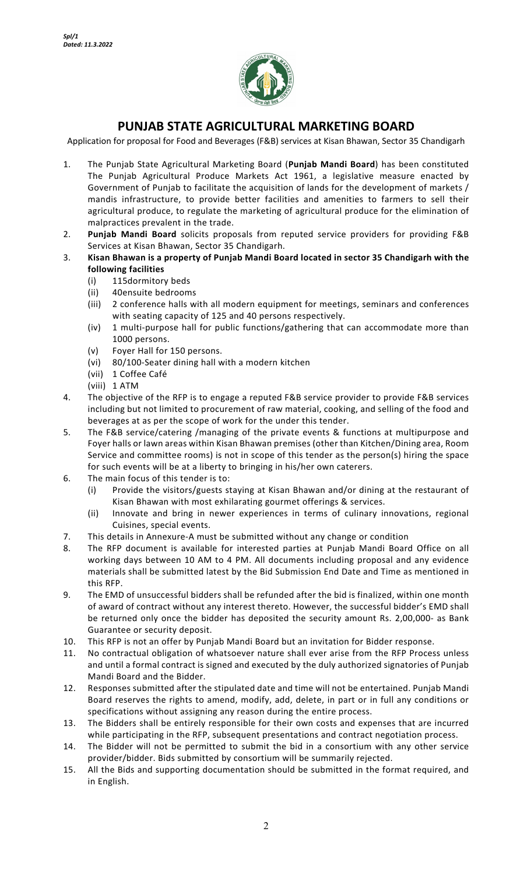

# **PUNJAB STATE AGRICULTURAL MARKETING BOARD**

Application for proposal for Food and Beverages (F&B) services at Kisan Bhawan, Sector 35 Chandigarh

- 1. The Punjab State Agricultural Marketing Board (**Punjab Mandi Board**) has been constituted The Punjab Agricultural Produce Markets Act 1961, a legislative measure enacted by Government of Punjab to facilitate the acquisition of lands for the development of markets / mandis infrastructure, to provide better facilities and amenities to farmers to sell their agricultural produce, to regulate the marketing of agricultural produce for the elimination of malpractices prevalent in the trade.
- 2. **Punjab Mandi Board** solicits proposals from reputed service providers for providing F&B Services at Kisan Bhawan, Sector 35 Chandigarh.
- 3. **Kisan Bhawan is a property of Punjab Mandi Board located in sector 35 Chandigarh with the following facilities** 
	- (i) 115dormitory beds
	- (ii) 40ensuite bedrooms
	- (iii) 2 conference halls with all modern equipment for meetings, seminars and conferences with seating capacity of 125 and 40 persons respectively.
	- (iv) 1 multi-purpose hall for public functions/gathering that can accommodate more than 1000 persons.
	- (v) Foyer Hall for 150 persons.
	- (vi) 80/100-Seater dining hall with a modern kitchen
	- (vii) 1 Coffee Café
	- (viii) 1 ATM
- 4. The objective of the RFP is to engage a reputed F&B service provider to provide F&B services including but not limited to procurement of raw material, cooking, and selling of the food and beverages at as per the scope of work for the under this tender.
- 5. The F&B service/catering /managing of the private events & functions at multipurpose and Foyer halls or lawn areas within Kisan Bhawan premises (other than Kitchen/Dining area, Room Service and committee rooms) is not in scope of this tender as the person(s) hiring the space for such events will be at a liberty to bringing in his/her own caterers.
- 6. The main focus of this tender is to:
	- (i) Provide the visitors/guests staying at Kisan Bhawan and/or dining at the restaurant of Kisan Bhawan with most exhilarating gourmet offerings & services.
	- (ii) Innovate and bring in newer experiences in terms of culinary innovations, regional Cuisines, special events.
- 7. This details in Annexure-A must be submitted without any change or condition
- 8. The RFP document is available for interested parties at Punjab Mandi Board Office on all working days between 10 AM to 4 PM. All documents including proposal and any evidence materials shall be submitted latest by the Bid Submission End Date and Time as mentioned in this RFP.
- 9. The EMD of unsuccessful bidders shall be refunded after the bid is finalized, within one month of award of contract without any interest thereto. However, the successful bidder's EMD shall be returned only once the bidder has deposited the security amount Rs. 2,00,000- as Bank Guarantee or security deposit.
- 10. This RFP is not an offer by Punjab Mandi Board but an invitation for Bidder response.
- 11. No contractual obligation of whatsoever nature shall ever arise from the RFP Process unless and until a formal contract is signed and executed by the duly authorized signatories of Punjab Mandi Board and the Bidder.
- 12. Responses submitted after the stipulated date and time will not be entertained. Punjab Mandi Board reserves the rights to amend, modify, add, delete, in part or in full any conditions or specifications without assigning any reason during the entire process.
- 13. The Bidders shall be entirely responsible for their own costs and expenses that are incurred while participating in the RFP, subsequent presentations and contract negotiation process.
- 14. The Bidder will not be permitted to submit the bid in a consortium with any other service provider/bidder. Bids submitted by consortium will be summarily rejected.
- 15. All the Bids and supporting documentation should be submitted in the format required, and in English.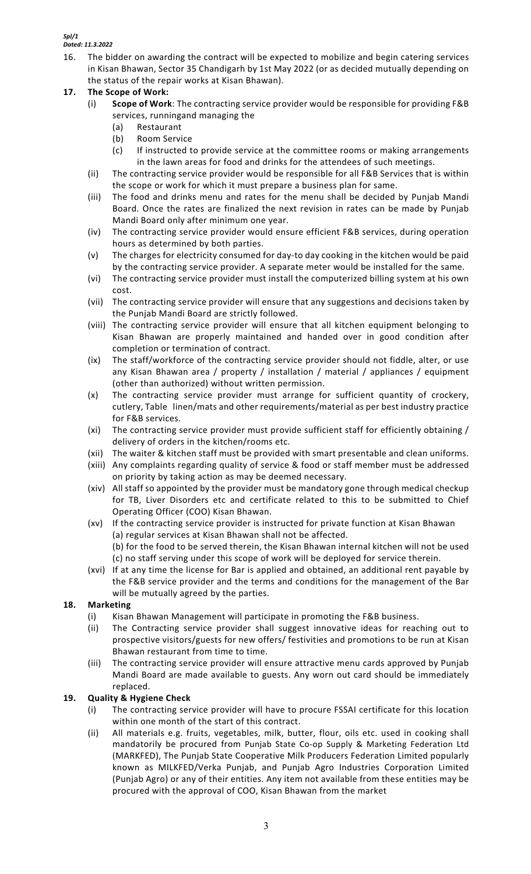- 16. The bidder on awarding the contract will be expected to mobilize and begin catering services in Kisan Bhawan, Sector 35 Chandigarh by 1st May 2022 (or as decided mutually depending on the status of the repair works at Kisan Bhawan).
- **17. The Scope of Work:**
	- (i) **Scope of Work**: The contracting service provider would be responsible for providing F&B services, runningand managing the
		- (a) Restaurant
		- (b) Room Service
		- (c) If instructed to provide service at the committee rooms or making arrangements in the lawn areas for food and drinks for the attendees of such meetings.
	- (ii) The contracting service provider would be responsible for all F&B Services that is within the scope or work for which it must prepare a business plan for same.
	- (iii) The food and drinks menu and rates for the menu shall be decided by Punjab Mandi Board. Once the rates are finalized the next revision in rates can be made by Punjab Mandi Board only after minimum one year.
	- (iv) The contracting service provider would ensure efficient F&B services, during operation hours as determined by both parties.
	- (v) The charges for electricity consumed for day-to day cooking in the kitchen would be paid by the contracting service provider. A separate meter would be installed for the same.
	- (vi) The contracting service provider must install the computerized billing system at his own cost.
	- (vii) The contracting service provider will ensure that any suggestions and decisions taken by the Punjab Mandi Board are strictly followed.
	- (viii) The contracting service provider will ensure that all kitchen equipment belonging to Kisan Bhawan are properly maintained and handed over in good condition after completion or termination of contract.
	- (ix) The staff/workforce of the contracting service provider should not fiddle, alter, or use any Kisan Bhawan area / property / installation / material / appliances / equipment (other than authorized) without written permission.
	- (x) The contracting service provider must arrange for sufficient quantity of crockery, cutlery, Table linen/mats and other requirements/material as per best industry practice for F&B services.
	- (xi) The contracting service provider must provide sufficient staff for efficiently obtaining / delivery of orders in the kitchen/rooms etc.
	- (xii) The waiter & kitchen staff must be provided with smart presentable and clean uniforms.
	- (xiii) Any complaints regarding quality of service & food or staff member must be addressed on priority by taking action as may be deemed necessary.
	- (xiv) All staff so appointed by the provider must be mandatory gone through medical checkup for TB, Liver Disorders etc and certificate related to this to be submitted to Chief Operating Officer (COO) Kisan Bhawan.
	- (xv) If the contracting service provider is instructed for private function at Kisan Bhawan (a) regular services at Kisan Bhawan shall not be affected. (b) for the food to be served therein, the Kisan Bhawan internal kitchen will not be used (c) no staff serving under this scope of work will be deployed for service therein.
	- (xvi) If at any time the license for Bar is applied and obtained, an additional rent payable by the F&B service provider and the terms and conditions for the management of the Bar will be mutually agreed by the parties.

## **18. Marketing**

- (i) Kisan Bhawan Management will participate in promoting the F&B business.
- (ii) The Contracting service provider shall suggest innovative ideas for reaching out to prospective visitors/guests for new offers/ festivities and promotions to be run at Kisan Bhawan restaurant from time to time.
- (iii) The contracting service provider will ensure attractive menu cards approved by Punjab Mandi Board are made available to guests. Any worn out card should be immediately replaced.

## **19. Quality & Hygiene Check**

- (i) The contracting service provider will have to procure FSSAI certificate for this location within one month of the start of this contract.
- (ii) All materials e.g. fruits, vegetables, milk, butter, flour, oils etc. used in cooking shall mandatorily be procured from Punjab State Co-op Supply & Marketing Federation Ltd (MARKFED), The Punjab State Cooperative Milk Producers Federation Limited popularly known as MILKFED/Verka Punjab, and Punjab Agro Industries Corporation Limited (Punjab Agro) or any of their entities. Any item not available from these entities may be procured with the approval of COO, Kisan Bhawan from the market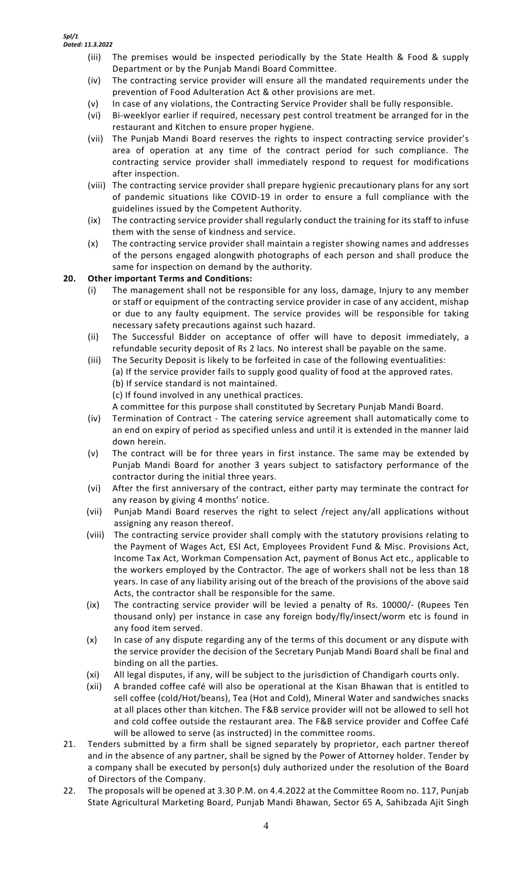- (iii) The premises would be inspected periodically by the State Health & Food & supply Department or by the Punjab Mandi Board Committee.
- (iv) The contracting service provider will ensure all the mandated requirements under the prevention of Food Adulteration Act & other provisions are met.
- (v) In case of any violations, the Contracting Service Provider shall be fully responsible.
- (vi) Bi-weeklyor earlier if required, necessary pest control treatment be arranged for in the restaurant and Kitchen to ensure proper hygiene.
- (vii) The Punjab Mandi Board reserves the rights to inspect contracting service provider's area of operation at any time of the contract period for such compliance. The contracting service provider shall immediately respond to request for modifications after inspection.
- (viii) The contracting service provider shall prepare hygienic precautionary plans for any sort of pandemic situations like COVID-19 in order to ensure a full compliance with the guidelines issued by the Competent Authority.
- (ix) The contracting service provider shall regularly conduct the training for its staff to infuse them with the sense of kindness and service.
- (x) The contracting service provider shall maintain a register showing names and addresses of the persons engaged alongwith photographs of each person and shall produce the same for inspection on demand by the authority.

## **20. Other important Terms and Conditions:**

- (i) The management shall not be responsible for any loss, damage, Injury to any member or staff or equipment of the contracting service provider in case of any accident, mishap or due to any faulty equipment. The service provides will be responsible for taking necessary safety precautions against such hazard.
- (ii) The Successful Bidder on acceptance of offer will have to deposit immediately, a refundable security deposit of Rs 2 lacs. No interest shall be payable on the same.
- (iii) The Security Deposit is likely to be forfeited in case of the following eventualities: (a) If the service provider fails to supply good quality of food at the approved rates. (b) If service standard is not maintained.
	- (c) If found involved in any unethical practices.
	- A committee for this purpose shall constituted by Secretary Punjab Mandi Board.
- (iv) Termination of Contract The catering service agreement shall automatically come to an end on expiry of period as specified unless and until it is extended in the manner laid down herein.
- (v) The contract will be for three years in first instance. The same may be extended by Punjab Mandi Board for another 3 years subject to satisfactory performance of the contractor during the initial three years.
- (vi) After the first anniversary of the contract, either party may terminate the contract for any reason by giving 4 months' notice.
- (vii) Punjab Mandi Board reserves the right to select /reject any/all applications without assigning any reason thereof.
- (viii) The contracting service provider shall comply with the statutory provisions relating to the Payment of Wages Act, ESI Act, Employees Provident Fund & Misc. Provisions Act, Income Tax Act, Workman Compensation Act, payment of Bonus Act etc., applicable to the workers employed by the Contractor. The age of workers shall not be less than 18 years. In case of any liability arising out of the breach of the provisions of the above said Acts, the contractor shall be responsible for the same.
- (ix) The contracting service provider will be levied a penalty of Rs. 10000/- (Rupees Ten thousand only) per instance in case any foreign body/fly/insect/worm etc is found in any food item served.
- (x) In case of any dispute regarding any of the terms of this document or any dispute with the service provider the decision of the Secretary Punjab Mandi Board shall be final and binding on all the parties.
- (xi) All legal disputes, if any, will be subject to the jurisdiction of Chandigarh courts only.
- (xii) A branded coffee café will also be operational at the Kisan Bhawan that is entitled to sell coffee (cold/Hot/beans), Tea (Hot and Cold), Mineral Water and sandwiches snacks at all places other than kitchen. The F&B service provider will not be allowed to sell hot and cold coffee outside the restaurant area. The F&B service provider and Coffee Café will be allowed to serve (as instructed) in the committee rooms.
- 21. Tenders submitted by a firm shall be signed separately by proprietor, each partner thereof and in the absence of any partner, shall be signed by the Power of Attorney holder. Tender by a company shall be executed by person(s) duly authorized under the resolution of the Board of Directors of the Company.
- 22. The proposals will be opened at 3.30 P.M. on 4.4.2022 at the Committee Room no. 117, Punjab State Agricultural Marketing Board, Punjab Mandi Bhawan, Sector 65 A, Sahibzada Ajit Singh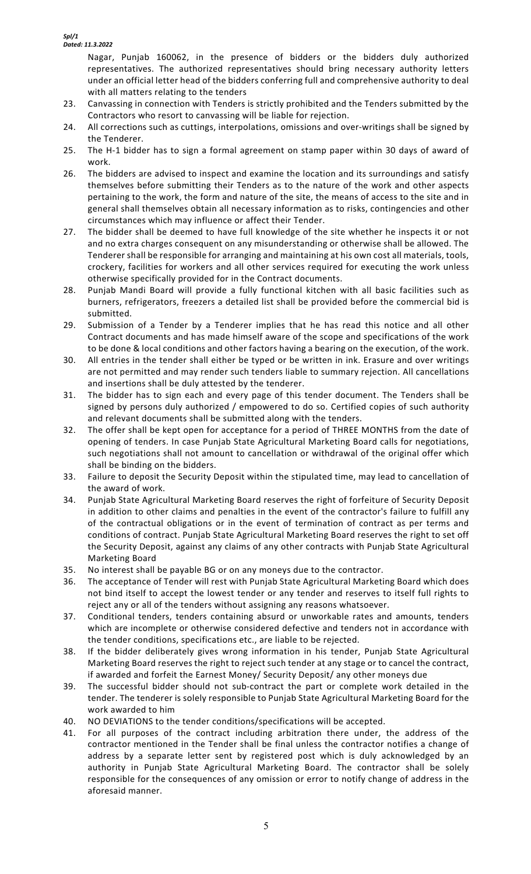Nagar, Punjab 160062, in the presence of bidders or the bidders duly authorized representatives. The authorized representatives should bring necessary authority letters under an official letter head of the bidders conferring full and comprehensive authority to deal with all matters relating to the tenders

- 23. Canvassing in connection with Tenders is strictly prohibited and the Tenders submitted by the Contractors who resort to canvassing will be liable for rejection.
- 24. All corrections such as cuttings, interpolations, omissions and over-writings shall be signed by the Tenderer.
- 25. The H-1 bidder has to sign a formal agreement on stamp paper within 30 days of award of work.
- 26. The bidders are advised to inspect and examine the location and its surroundings and satisfy themselves before submitting their Tenders as to the nature of the work and other aspects pertaining to the work, the form and nature of the site, the means of access to the site and in general shall themselves obtain all necessary information as to risks, contingencies and other circumstances which may influence or affect their Tender.
- 27. The bidder shall be deemed to have full knowledge of the site whether he inspects it or not and no extra charges consequent on any misunderstanding or otherwise shall be allowed. The Tenderer shall be responsible for arranging and maintaining at his own cost all materials, tools, crockery, facilities for workers and all other services required for executing the work unless otherwise specifically provided for in the Contract documents.
- 28. Punjab Mandi Board will provide a fully functional kitchen with all basic facilities such as burners, refrigerators, freezers a detailed list shall be provided before the commercial bid is submitted.
- 29. Submission of a Tender by a Tenderer implies that he has read this notice and all other Contract documents and has made himself aware of the scope and specifications of the work to be done & local conditions and other factors having a bearing on the execution, of the work.
- 30. All entries in the tender shall either be typed or be written in ink. Erasure and over writings are not permitted and may render such tenders liable to summary rejection. All cancellations and insertions shall be duly attested by the tenderer.
- 31. The bidder has to sign each and every page of this tender document. The Tenders shall be signed by persons duly authorized / empowered to do so. Certified copies of such authority and relevant documents shall be submitted along with the tenders.
- 32. The offer shall be kept open for acceptance for a period of THREE MONTHS from the date of opening of tenders. In case Punjab State Agricultural Marketing Board calls for negotiations, such negotiations shall not amount to cancellation or withdrawal of the original offer which shall be binding on the bidders.
- 33. Failure to deposit the Security Deposit within the stipulated time, may lead to cancellation of the award of work.
- 34. Punjab State Agricultural Marketing Board reserves the right of forfeiture of Security Deposit in addition to other claims and penalties in the event of the contractor's failure to fulfill any of the contractual obligations or in the event of termination of contract as per terms and conditions of contract. Punjab State Agricultural Marketing Board reserves the right to set off the Security Deposit, against any claims of any other contracts with Punjab State Agricultural Marketing Board
- 35. No interest shall be payable BG or on any moneys due to the contractor.
- 36. The acceptance of Tender will rest with Punjab State Agricultural Marketing Board which does not bind itself to accept the lowest tender or any tender and reserves to itself full rights to reject any or all of the tenders without assigning any reasons whatsoever.
- 37. Conditional tenders, tenders containing absurd or unworkable rates and amounts, tenders which are incomplete or otherwise considered defective and tenders not in accordance with the tender conditions, specifications etc., are liable to be rejected.
- 38. If the bidder deliberately gives wrong information in his tender, Punjab State Agricultural Marketing Board reserves the right to reject such tender at any stage or to cancel the contract, if awarded and forfeit the Earnest Money/ Security Deposit/ any other moneys due
- 39. The successful bidder should not sub-contract the part or complete work detailed in the tender. The tenderer is solely responsible to Punjab State Agricultural Marketing Board for the work awarded to him
- 40. NO DEVIATIONS to the tender conditions/specifications will be accepted.
- 41. For all purposes of the contract including arbitration there under, the address of the contractor mentioned in the Tender shall be final unless the contractor notifies a change of address by a separate letter sent by registered post which is duly acknowledged by an authority in Punjab State Agricultural Marketing Board. The contractor shall be solely responsible for the consequences of any omission or error to notify change of address in the aforesaid manner.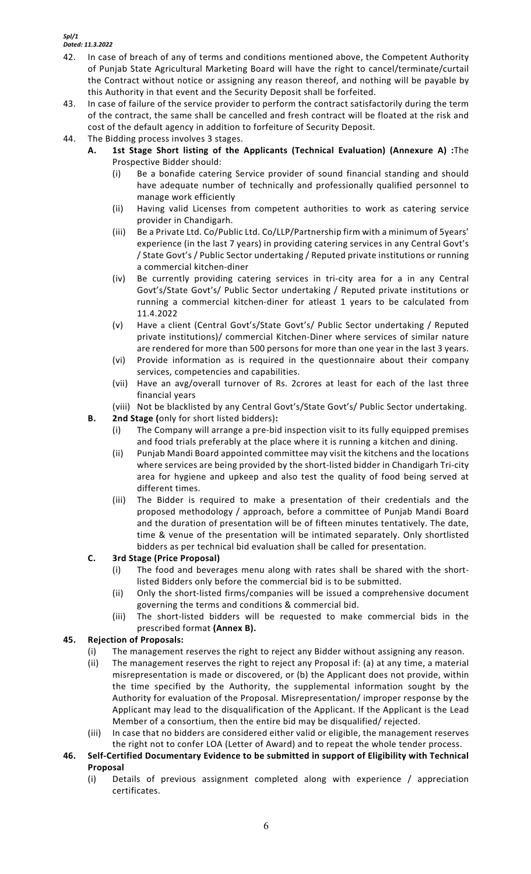- 42. In case of breach of any of terms and conditions mentioned above, the Competent Authority of Punjab State Agricultural Marketing Board will have the right to cancel/terminate/curtail the Contract without notice or assigning any reason thereof, and nothing will be payable by this Authority in that event and the Security Deposit shall be forfeited.
- 43. In case of failure of the service provider to perform the contract satisfactorily during the term of the contract, the same shall be cancelled and fresh contract will be floated at the risk and cost of the default agency in addition to forfeiture of Security Deposit.
- 44. The Bidding process involves 3 stages.
	- **A. 1st Stage Short listing of the Applicants (Technical Evaluation) (Annexure A) :**The Prospective Bidder should:
		- Be a bonafide catering Service provider of sound financial standing and should have adequate number of technically and professionally qualified personnel to manage work efficiently
		- (ii) Having valid Licenses from competent authorities to work as catering service provider in Chandigarh.
		- (iii) Be a Private Ltd. Co/Public Ltd. Co/LLP/Partnership firm with a minimum of 5years' experience (in the last 7 years) in providing catering services in any Central Govt's / State Govt's / Public Sector undertaking / Reputed private institutions or running a commercial kitchen-diner
		- (iv) Be currently providing catering services in tri-city area for a in any Central Govt's/State Govt's/ Public Sector undertaking / Reputed private institutions or running a commercial kitchen-diner for atleast 1 years to be calculated from 11.4.2022
		- (v) Have a client (Central Govt's/State Govt's/ Public Sector undertaking / Reputed private institutions)/ commercial Kitchen-Diner where services of similar nature are rendered for more than 500 persons for more than one year in the last 3 years.
		- (vi) Provide information as is required in the questionnaire about their company services, competencies and capabilities.
		- (vii) Have an avg/overall turnover of Rs. 2crores at least for each of the last three financial years
		- (viii) Not be blacklisted by any Central Govt's/State Govt's/ Public Sector undertaking.
	- **B. 2nd Stage (**only for short listed bidders)**:** 
		- (i) The Company will arrange a pre-bid inspection visit to its fully equipped premises and food trials preferably at the place where it is running a kitchen and dining.
		- (ii) Punjab Mandi Board appointed committee may visit the kitchens and the locations where services are being provided by the short-listed bidder in Chandigarh Tri-city area for hygiene and upkeep and also test the quality of food being served at different times.
		- (iii) The Bidder is required to make a presentation of their credentials and the proposed methodology / approach, before a committee of Punjab Mandi Board and the duration of presentation will be of fifteen minutes tentatively. The date, time & venue of the presentation will be intimated separately. Only shortlisted bidders as per technical bid evaluation shall be called for presentation.

## **C. 3rd Stage (Price Proposal)**

- (i) The food and beverages menu along with rates shall be shared with the shortlisted Bidders only before the commercial bid is to be submitted.
- (ii) Only the short-listed firms/companies will be issued a comprehensive document governing the terms and conditions & commercial bid.
- (iii) The short-listed bidders will be requested to make commercial bids in the prescribed format **(Annex B).**

## **45. Rejection of Proposals:**

- (i) The management reserves the right to reject any Bidder without assigning any reason.
- (ii) The management reserves the right to reject any Proposal if: (a) at any time, a material misrepresentation is made or discovered, or (b) the Applicant does not provide, within the time specified by the Authority, the supplemental information sought by the Authority for evaluation of the Proposal. Misrepresentation/ improper response by the Applicant may lead to the disqualification of the Applicant. If the Applicant is the Lead Member of a consortium, then the entire bid may be disqualified/ rejected.
- (iii) In case that no bidders are considered either valid or eligible, the management reserves the right not to confer LOA (Letter of Award) and to repeat the whole tender process.
- **46. Self-Certified Documentary Evidence to be submitted in support of Eligibility with Technical Proposal**
	- (i) Details of previous assignment completed along with experience / appreciation certificates.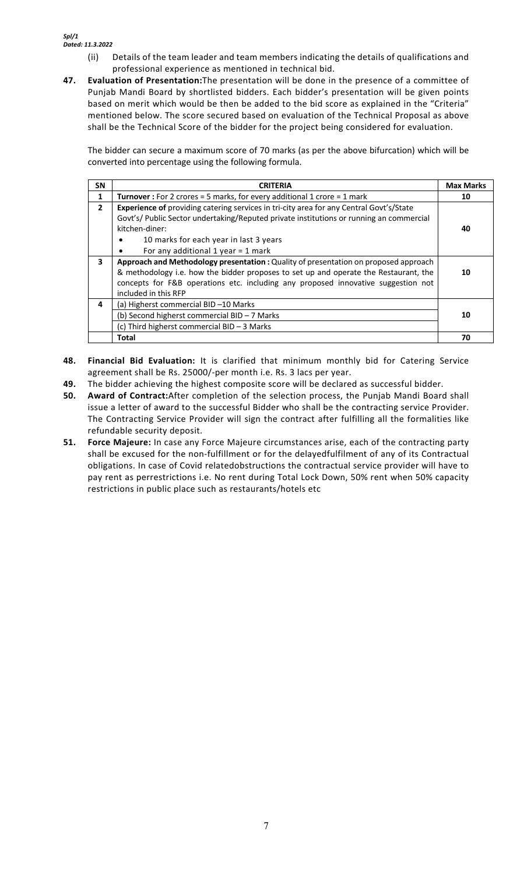- (ii) Details of the team leader and team members indicating the details of qualifications and professional experience as mentioned in technical bid.
- **47. Evaluation of Presentation:**The presentation will be done in the presence of a committee of Punjab Mandi Board by shortlisted bidders. Each bidder's presentation will be given points based on merit which would be then be added to the bid score as explained in the "Criteria" mentioned below. The score secured based on evaluation of the Technical Proposal as above shall be the Technical Score of the bidder for the project being considered for evaluation.

The bidder can secure a maximum score of 70 marks (as per the above bifurcation) which will be converted into percentage using the following formula.

| <b>SN</b>    | <b>CRITERIA</b>                                                                                                                                                                    | <b>Max Marks</b> |  |
|--------------|------------------------------------------------------------------------------------------------------------------------------------------------------------------------------------|------------------|--|
| 1            | Turnover : For 2 crores = 5 marks, for every additional 1 crore = 1 mark                                                                                                           |                  |  |
| $\mathbf{2}$ | Experience of providing catering services in tri-city area for any Central Govt's/State<br>Govt's/ Public Sector undertaking/Reputed private institutions or running an commercial |                  |  |
|              | kitchen-diner:                                                                                                                                                                     |                  |  |
|              | 10 marks for each year in last 3 years                                                                                                                                             |                  |  |
|              | For any additional 1 year = $1$ mark                                                                                                                                               |                  |  |
| 3            | Approach and Methodology presentation : Quality of presentation on proposed approach                                                                                               |                  |  |
|              | & methodology i.e. how the bidder proposes to set up and operate the Restaurant, the                                                                                               | 10               |  |
|              | concepts for F&B operations etc. including any proposed innovative suggestion not                                                                                                  |                  |  |
|              | included in this RFP                                                                                                                                                               |                  |  |
| 4            | (a) Higherst commercial BID -10 Marks                                                                                                                                              |                  |  |
|              | (b) Second higherst commercial BID - 7 Marks                                                                                                                                       |                  |  |
|              | (c) Third higherst commercial BID - 3 Marks                                                                                                                                        |                  |  |
|              | Total                                                                                                                                                                              | 70               |  |

- **48. Financial Bid Evaluation:** It is clarified that minimum monthly bid for Catering Service agreement shall be Rs. 25000/-per month i.e. Rs. 3 lacs per year.
- **49.** The bidder achieving the highest composite score will be declared as successful bidder.
- **50. Award of Contract:**After completion of the selection process, the Punjab Mandi Board shall issue a letter of award to the successful Bidder who shall be the contracting service Provider. The Contracting Service Provider will sign the contract after fulfilling all the formalities like refundable security deposit.
- **51. Force Majeure:** In case any Force Majeure circumstances arise, each of the contracting party shall be excused for the non-fulfillment or for the delayedfulfilment of any of its Contractual obligations. In case of Covid relatedobstructions the contractual service provider will have to pay rent as perrestrictions i.e. No rent during Total Lock Down, 50% rent when 50% capacity restrictions in public place such as restaurants/hotels etc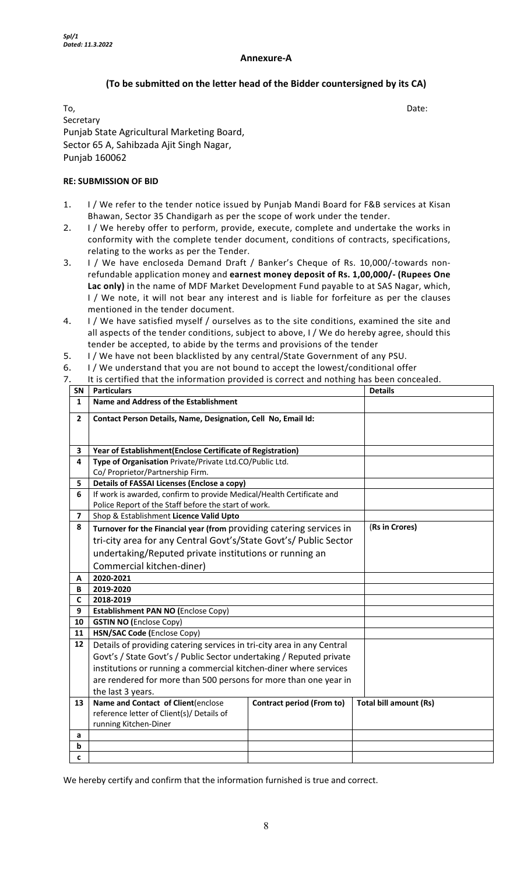#### **Annexure-A**

## **(To be submitted on the letter head of the Bidder countersigned by its CA)**

To, the contract of the contract of the contract of the contract of the contract of the Date: Secretary Punjab State Agricultural Marketing Board, Sector 65 A, Sahibzada Ajit Singh Nagar, Punjab 160062

#### **RE: SUBMISSION OF BID**

- 1. I / We refer to the tender notice issued by Punjab Mandi Board for F&B services at Kisan Bhawan, Sector 35 Chandigarh as per the scope of work under the tender.
- 2. I / We hereby offer to perform, provide, execute, complete and undertake the works in conformity with the complete tender document, conditions of contracts, specifications, relating to the works as per the Tender.
- 3. I / We have encloseda Demand Draft / Banker's Cheque of Rs. 10,000/-towards nonrefundable application money and **earnest money deposit of Rs. 1,00,000/- (Rupees One Lac only)** in the name of MDF Market Development Fund payable to at SAS Nagar, which, I / We note, it will not bear any interest and is liable for forfeiture as per the clauses mentioned in the tender document.
- 4. I / We have satisfied myself / ourselves as to the site conditions, examined the site and all aspects of the tender conditions, subject to above, I / We do hereby agree, should this tender be accepted, to abide by the terms and provisions of the tender
- 5. I / We have not been blacklisted by any central/State Government of any PSU.
- 6. I / We understand that you are not bound to accept the lowest/conditional offer
- 7. It is certified that the information provided is correct and nothing has been concealed.

| <b>SN</b>                    | it is certified that the imbiliation provided is correct and nothing has been concealed.<br><b>Details</b><br><b>Particulars</b> |                                  |                               |  |  |  |
|------------------------------|----------------------------------------------------------------------------------------------------------------------------------|----------------------------------|-------------------------------|--|--|--|
| $\mathbf{1}$                 | Name and Address of the Establishment                                                                                            |                                  |                               |  |  |  |
| $\overline{2}$               | Contact Person Details, Name, Designation, Cell No, Email Id:                                                                    |                                  |                               |  |  |  |
|                              |                                                                                                                                  |                                  |                               |  |  |  |
|                              |                                                                                                                                  |                                  |                               |  |  |  |
| 3                            | Year of Establishment(Enclose Certificate of Registration)                                                                       |                                  |                               |  |  |  |
| 4                            | Type of Organisation Private/Private Ltd.CO/Public Ltd.                                                                          |                                  |                               |  |  |  |
|                              | Co/ Proprietor/Partnership Firm.                                                                                                 |                                  |                               |  |  |  |
| 5                            | <b>Details of FASSAI Licenses (Enclose a copy)</b>                                                                               |                                  |                               |  |  |  |
| 6                            | If work is awarded, confirm to provide Medical/Health Certificate and                                                            |                                  |                               |  |  |  |
|                              | Police Report of the Staff before the start of work.                                                                             |                                  |                               |  |  |  |
| $\overline{\mathbf{z}}$<br>8 | Shop & Establishment Licence Valid Upto                                                                                          |                                  |                               |  |  |  |
|                              | (Rs in Crores)<br>Turnover for the Financial year (from providing catering services in                                           |                                  |                               |  |  |  |
|                              | tri-city area for any Central Govt's/State Govt's/ Public Sector                                                                 |                                  |                               |  |  |  |
|                              | undertaking/Reputed private institutions or running an                                                                           |                                  |                               |  |  |  |
|                              | Commercial kitchen-diner)                                                                                                        |                                  |                               |  |  |  |
| A                            | 2020-2021                                                                                                                        |                                  |                               |  |  |  |
|                              | 2019-2020                                                                                                                        |                                  |                               |  |  |  |
| В                            |                                                                                                                                  |                                  |                               |  |  |  |
| C                            | 2018-2019                                                                                                                        |                                  |                               |  |  |  |
| 9                            | Establishment PAN NO (Enclose Copy)                                                                                              |                                  |                               |  |  |  |
| 10                           | <b>GSTIN NO (Enclose Copy)</b>                                                                                                   |                                  |                               |  |  |  |
| 11                           | HSN/SAC Code (Enclose Copy)                                                                                                      |                                  |                               |  |  |  |
| 12                           | Details of providing catering services in tri-city area in any Central                                                           |                                  |                               |  |  |  |
|                              | Govt's / State Govt's / Public Sector undertaking / Reputed private                                                              |                                  |                               |  |  |  |
|                              | institutions or running a commercial kitchen-diner where services                                                                |                                  |                               |  |  |  |
|                              | are rendered for more than 500 persons for more than one year in                                                                 |                                  |                               |  |  |  |
|                              | the last 3 years.                                                                                                                |                                  |                               |  |  |  |
| 13                           | Name and Contact of Client(enclose                                                                                               | <b>Contract period (From to)</b> | <b>Total bill amount (Rs)</b> |  |  |  |
|                              | reference letter of Client(s)/ Details of                                                                                        |                                  |                               |  |  |  |
|                              | running Kitchen-Diner                                                                                                            |                                  |                               |  |  |  |
| a                            |                                                                                                                                  |                                  |                               |  |  |  |
| b<br>c                       |                                                                                                                                  |                                  |                               |  |  |  |

We hereby certify and confirm that the information furnished is true and correct.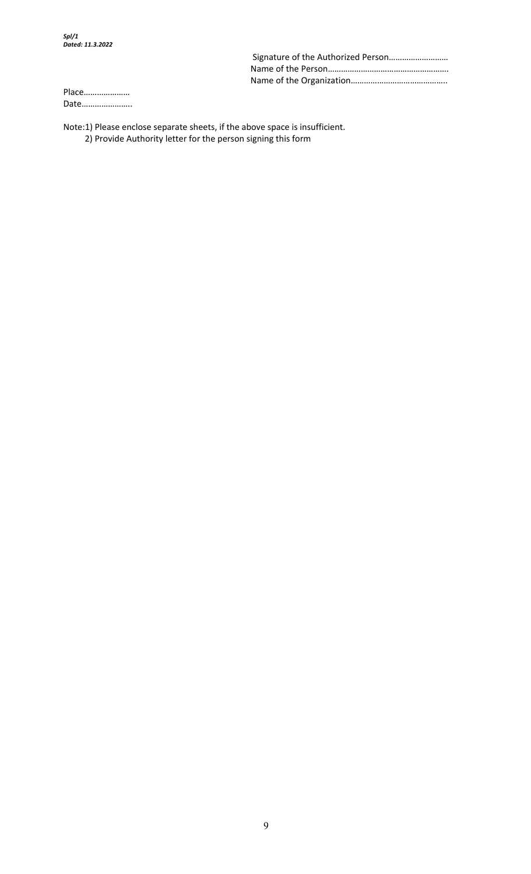Place………………… Date…………………..

Note:1) Please enclose separate sheets, if the above space is insufficient. 2) Provide Authority letter for the person signing this form